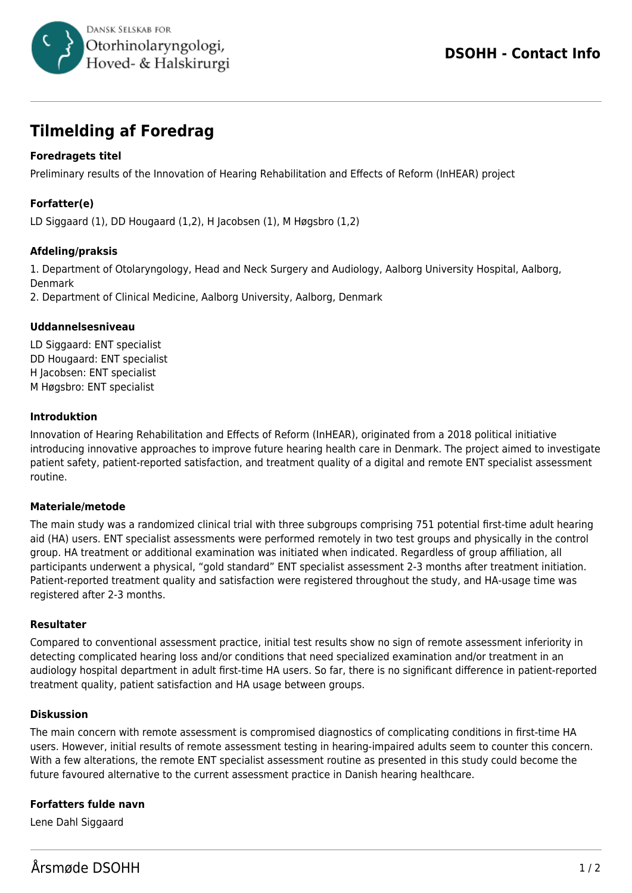

# **Tilmelding af Foredrag**

## **Foredragets titel**

Preliminary results of the Innovation of Hearing Rehabilitation and Effects of Reform (InHEAR) project

# **Forfatter(e)**

LD Siggaard (1), DD Hougaard (1,2), H Jacobsen (1), M Høgsbro (1,2)

### **Afdeling/praksis**

1. Department of Otolaryngology, Head and Neck Surgery and Audiology, Aalborg University Hospital, Aalborg, Denmark

2. Department of Clinical Medicine, Aalborg University, Aalborg, Denmark

#### **Uddannelsesniveau**

LD Siggaard: ENT specialist DD Hougaard: ENT specialist H Jacobsen: ENT specialist M Høgsbro: ENT specialist

#### **Introduktion**

Innovation of Hearing Rehabilitation and Effects of Reform (InHEAR), originated from a 2018 political initiative introducing innovative approaches to improve future hearing health care in Denmark. The project aimed to investigate patient safety, patient-reported satisfaction, and treatment quality of a digital and remote ENT specialist assessment routine.

#### **Materiale/metode**

The main study was a randomized clinical trial with three subgroups comprising 751 potential first-time adult hearing aid (HA) users. ENT specialist assessments were performed remotely in two test groups and physically in the control group. HA treatment or additional examination was initiated when indicated. Regardless of group affiliation, all participants underwent a physical, "gold standard" ENT specialist assessment 2-3 months after treatment initiation. Patient-reported treatment quality and satisfaction were registered throughout the study, and HA-usage time was registered after 2-3 months.

#### **Resultater**

Compared to conventional assessment practice, initial test results show no sign of remote assessment inferiority in detecting complicated hearing loss and/or conditions that need specialized examination and/or treatment in an audiology hospital department in adult first-time HA users. So far, there is no significant difference in patient-reported treatment quality, patient satisfaction and HA usage between groups.

#### **Diskussion**

The main concern with remote assessment is compromised diagnostics of complicating conditions in first-time HA users. However, initial results of remote assessment testing in hearing-impaired adults seem to counter this concern. With a few alterations, the remote ENT specialist assessment routine as presented in this study could become the future favoured alternative to the current assessment practice in Danish hearing healthcare.

## **Forfatters fulde navn**

Lene Dahl Siggaard